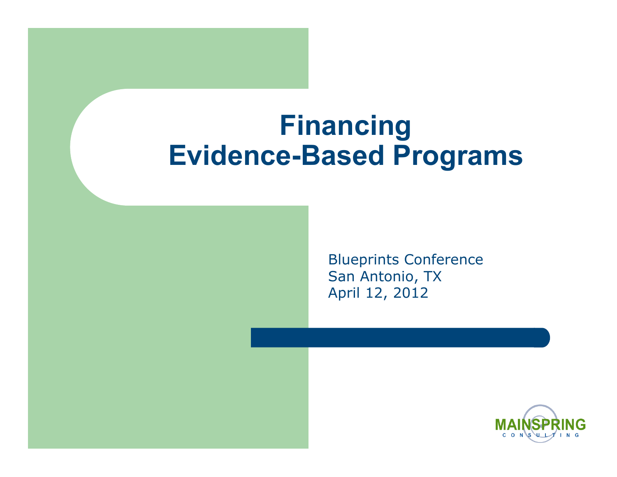### **Financing Evidence-Based Programs**

Blueprints Conference San Antonio, TX April 12, 2012

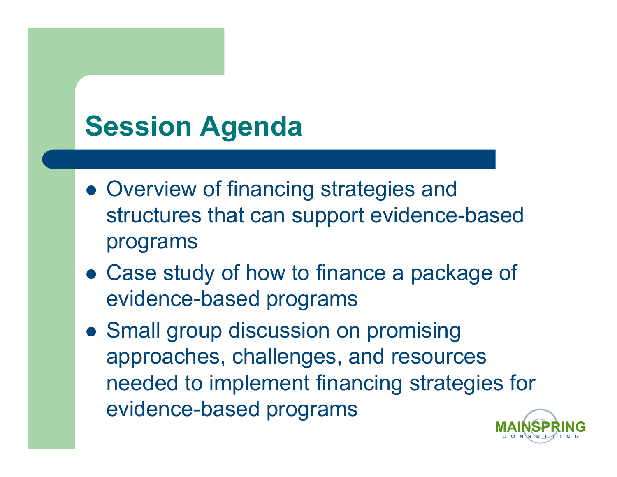## **Session Agenda**

- Overview of financing strategies and structures that can support evidence-based programs
- Case study of how to finance a package of evidence-based programs
- Small group discussion on promising approaches, challenges, and resources needed to implement financing strategies for evidence-based programs

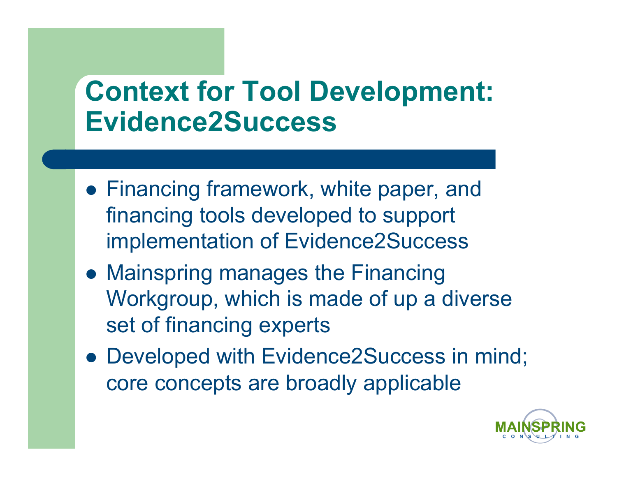## **Context for Tool Development: Evidence2Success**

- Financing framework, white paper, and financing tools developed to support implementation of Evidence2Success
- Mainspring manages the Financing Workgroup, which is made of up a diverse set of financing experts
- Developed with Evidence2Success in mind; core concepts are broadly applicable

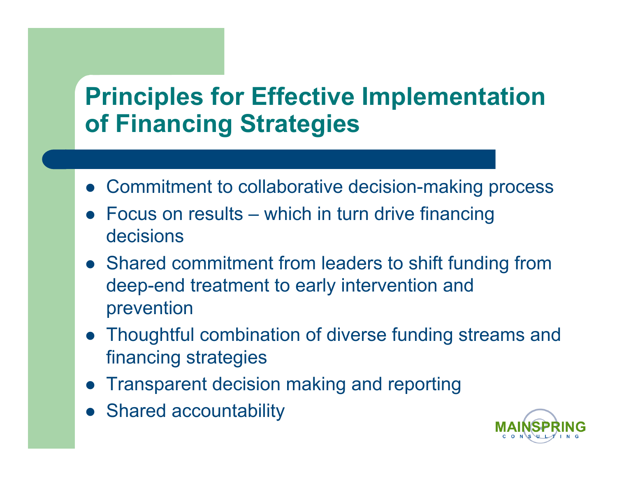### **Principles for Effective Implementation of Financing Strategies**

- Commitment to collaborative decision-making process
- Focus on results which in turn drive financing decisions
- Shared commitment from leaders to shift funding from deep-end treatment to early intervention and prevention
- Thoughtful combination of diverse funding streams and financing strategies
- Transparent decision making and reporting
- Shared accountability

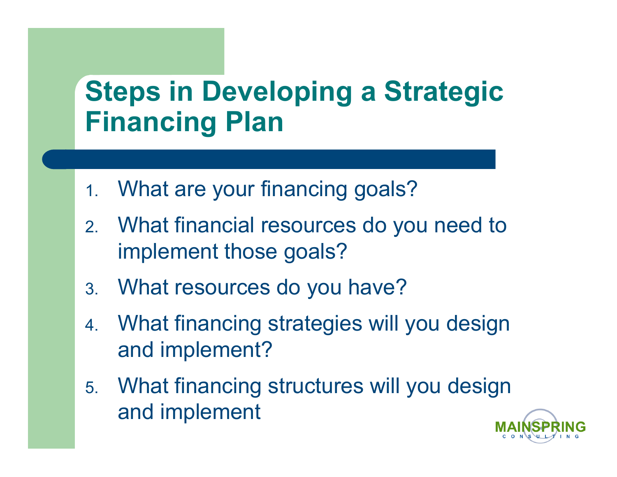## **Steps in Developing a Strategic Financing Plan**

- 1. What are your financing goals?
- 2. What financial resources do you need to implement those goals?
- 3. What resources do you have?
- 4. What financing strategies will you design and implement?
- 5. What financing structures will you design and implement

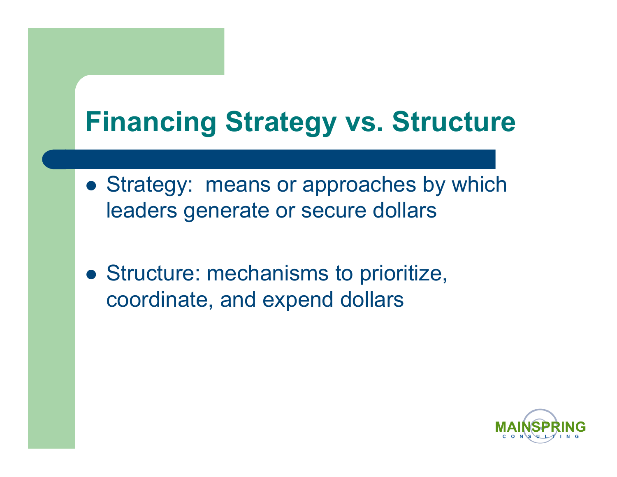## **Financing Strategy vs. Structure**

- Strategy: means or approaches by which leaders generate or secure dollars
- Structure: mechanisms to prioritize, coordinate, and expend dollars

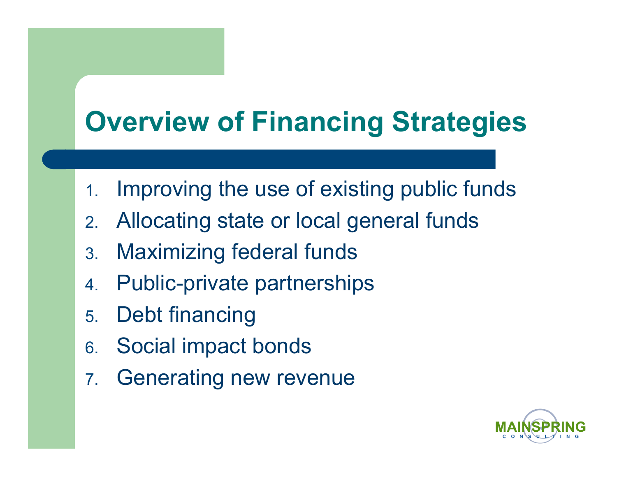## **Overview of Financing Strategies**

- 1. Improving the use of existing public funds
- 2. Allocating state or local general funds
- 3. Maximizing federal funds
- 4. Public-private partnerships
- 5. Debt financing
- 6. Social impact bonds
- 7. Generating new revenue

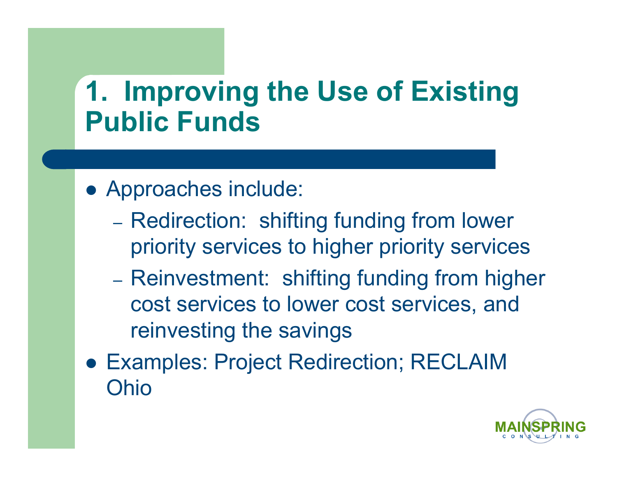## **1. Improving the Use of Existing Public Funds**

- Approaches include:
	- Redirection: shifting funding from lower priority services to higher priority services
	- Reinvestment: shifting funding from higher cost services to lower cost services, and reinvesting the savings
- Examples: Project Redirection; RECLAIM Ohio

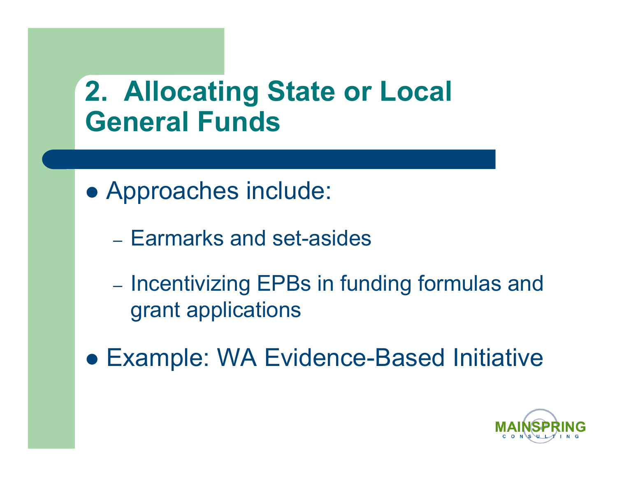## **2. Allocating State or Local General Funds**

- Approaches include:
	- Earmarks and set-asides
	- Incentivizing EPBs in funding formulas and grant applications
- Example: WA Evidence-Based Initiative

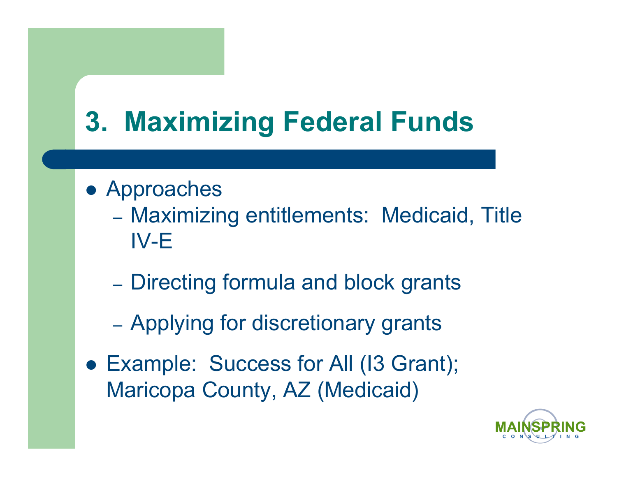## **3. Maximizing Federal Funds**

- Approaches
	- Maximizing entitlements: Medicaid, Title IV-E
	- Directing formula and block grants
	- Applying for discretionary grants
- Example: Success for All (13 Grant); Maricopa County, AZ (Medicaid)

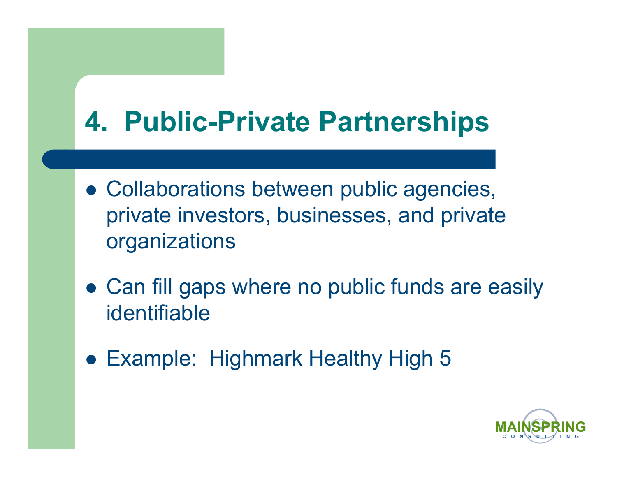## **4. Public-Private Partnerships**

- Collaborations between public agencies, private investors, businesses, and private organizations
- Can fill gaps where no public funds are easily identifiable
- Example: Highmark Healthy High 5

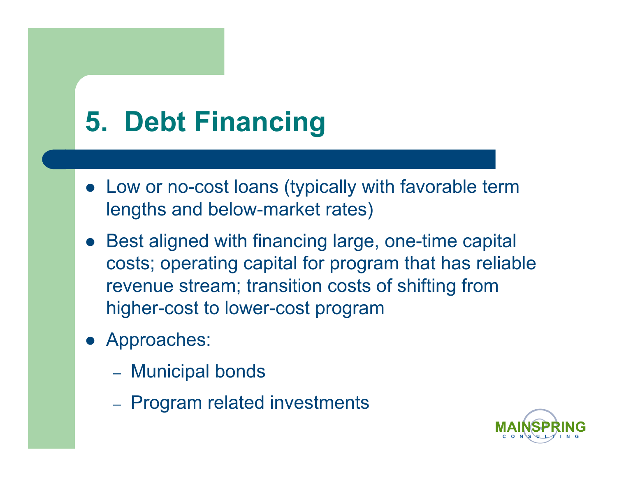## **5. Debt Financing**

- Low or no-cost loans (typically with favorable term lengths and below-market rates)
- Best aligned with financing large, one-time capital costs; operating capital for program that has reliable revenue stream; transition costs of shifting from higher-cost to lower-cost program
- Approaches:
	- Municipal bonds
	- Program related investments

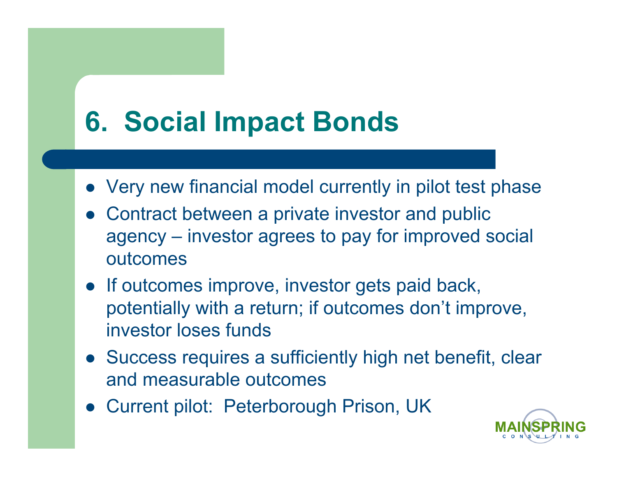## **6. Social Impact Bonds**

- Very new financial model currently in pilot test phase
- Contract between a private investor and public agency – investor agrees to pay for improved social outcomes
- If outcomes improve, investor gets paid back, potentially with a return; if outcomes don't improve, investor loses funds
- Success requires a sufficiently high net benefit, clear and measurable outcomes
- Current pilot: Peterborough Prison, UK

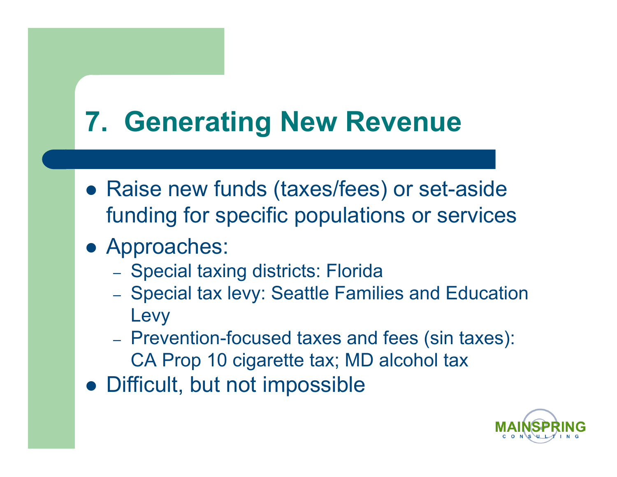## **7. Generating New Revenue**

- Raise new funds (taxes/fees) or set-aside funding for specific populations or services
- Approaches:
	- Special taxing districts: Florida
	- Special tax levy: Seattle Families and Education Levy
	- Prevention-focused taxes and fees (sin taxes): CA Prop 10 cigarette tax; MD alcohol tax
- Difficult, but not impossible

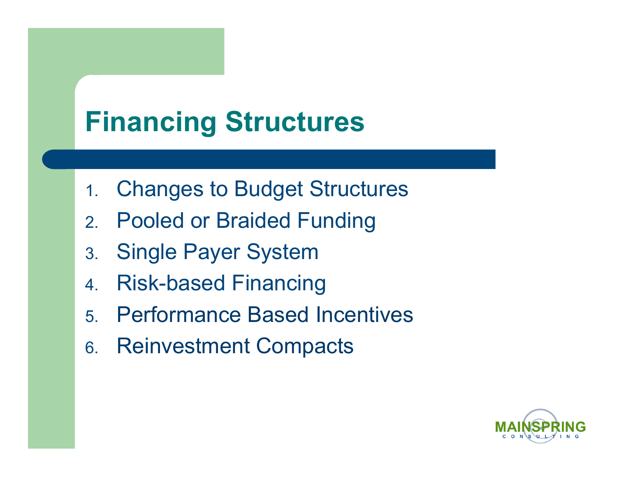## **Financing Structures**

- 1. Changes to Budget Structures
- 2. Pooled or Braided Funding
- 3. Single Payer System
- 4. Risk-based Financing
- 5. Performance Based Incentives
- 6. Reinvestment Compacts

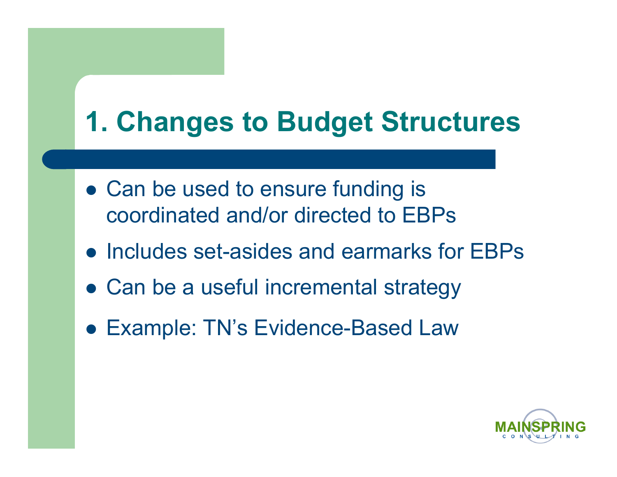## **1. Changes to Budget Structures**

- Can be used to ensure funding is coordinated and/or directed to EBPs
- Includes set-asides and earmarks for EBPs
- Can be a useful incremental strategy
- Example: TN's Evidence-Based Law

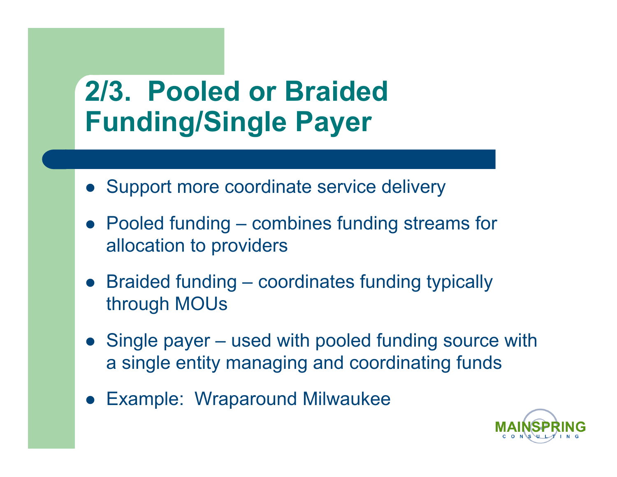## **2/3. Pooled or Braided Funding/Single Payer**

- Support more coordinate service delivery
- Pooled funding combines funding streams for allocation to providers
- Braided funding coordinates funding typically through MOUs
- Single payer used with pooled funding source with a single entity managing and coordinating funds
- Example: Wraparound Milwaukee

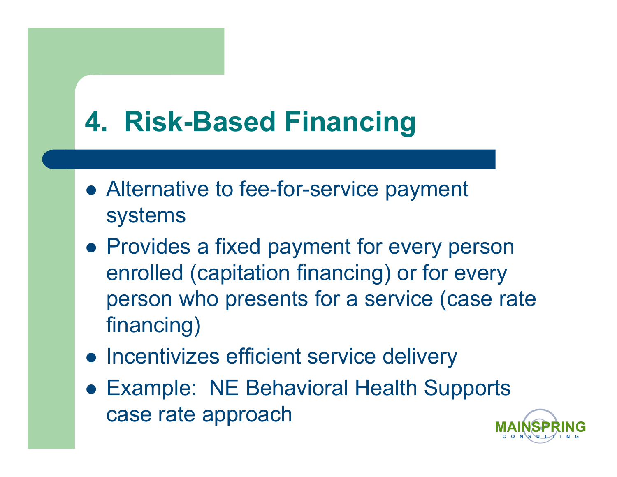## **4. Risk-Based Financing**

- Alternative to fee-for-service payment systems
- Provides a fixed payment for every person enrolled (capitation financing) or for every person who presents for a service (case rate financing)
- Incentivizes efficient service delivery
- Example: NE Behavioral Health Supports case rate approach

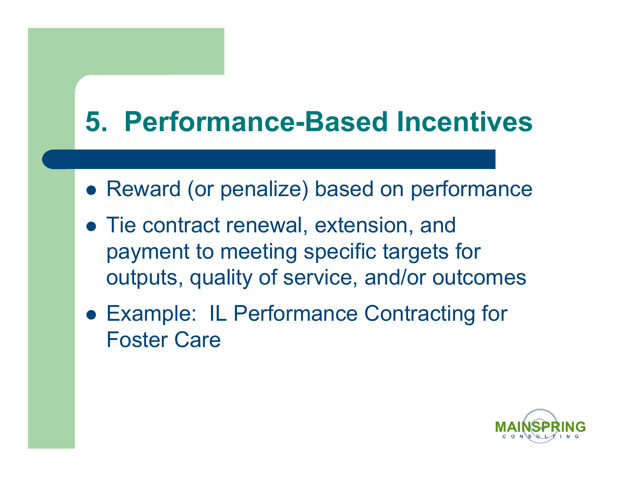## **5. Performance-Based Incentives**

- Reward (or penalize) based on performance
- Tie contract renewal, extension, and payment to meeting specific targets for outputs, quality of service, and/or outcomes
- Example: IL Performance Contracting for Foster Care

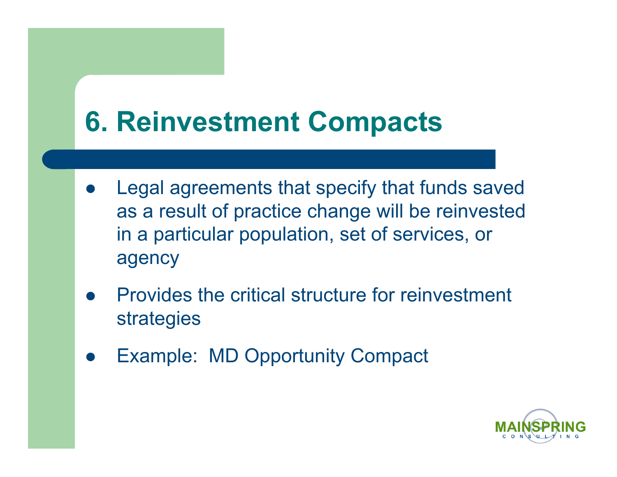## **6. Reinvestment Compacts**

- Legal agreements that specify that funds saved as a result of practice change will be reinvested in a particular population, set of services, or agency
- Provides the critical structure for reinvestment strategies
- Example: MD Opportunity Compact

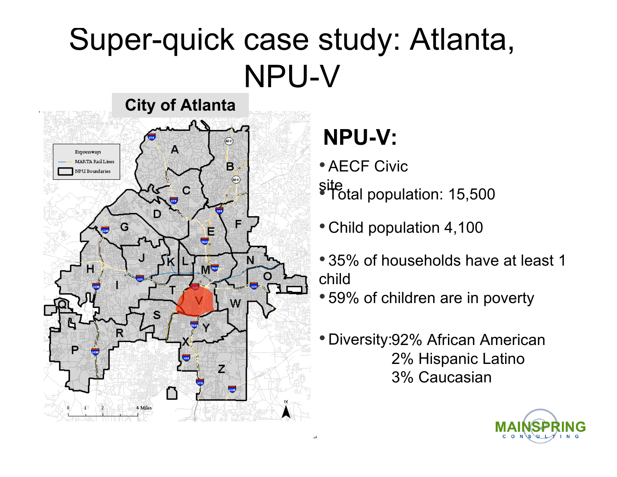## Super-quick case study: Atlanta, NPU-V



### **NPU-V:**

- AECF Civic site • Total population: 15,500
- Child population 4,100
- 35% of households have at least 1 child
- 59% of children are in poverty
- Diversity:92% African American 2% Hispanic Latino 3% Caucasian

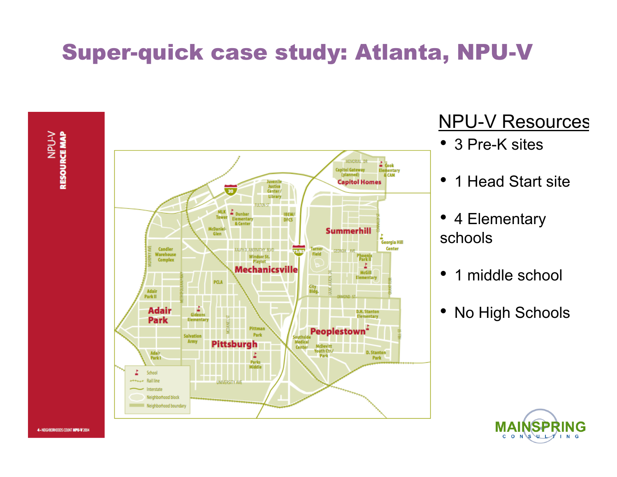### Super-quick case study: Atlanta, NPU-V



#### **NPU-V Resources**

- 3 Pre-K sites
- 1 Head Start site
- 4 Elementary schools
- 1 middle school
- No High Schools



4 - NEGHBORHOODS COUNT MPU-W 2004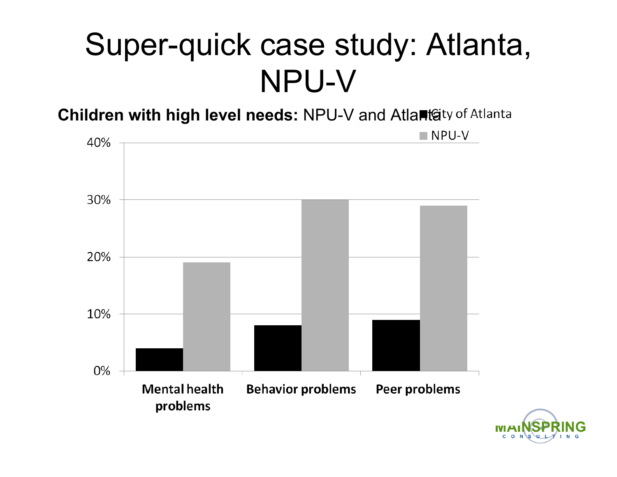## Super-quick case study: Atlanta, NPU-V

**Children with high level needs:** NPU-V and Atlanta

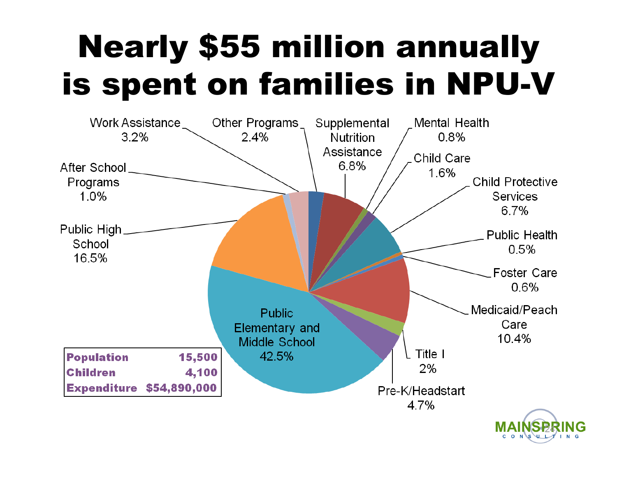# Nearly \$55 million annually is spent on families in NPU-V

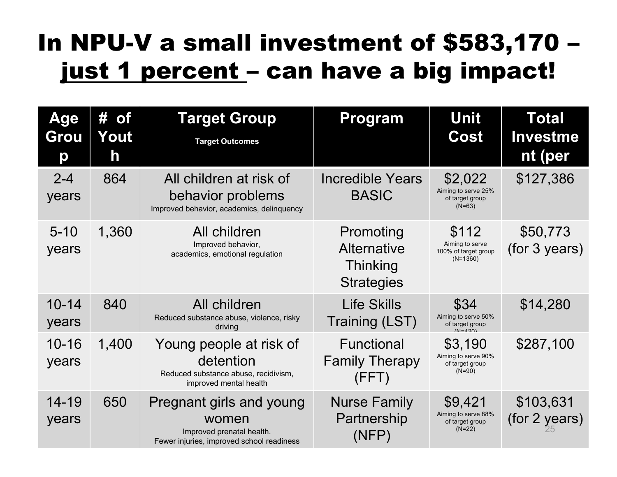### In NPU-V a small investment of \$583,170 – just 1 percent - can have a big impact!

| <b>Age</b><br>Grou<br>p | # of<br>Yout<br>h | <b>Target Group</b><br><b>Target Outcomes</b>                                                               | Program                                                          | <b>Unit</b><br>Cost                                            | <b>Total</b><br><b>Investme</b><br>nt (per |
|-------------------------|-------------------|-------------------------------------------------------------------------------------------------------------|------------------------------------------------------------------|----------------------------------------------------------------|--------------------------------------------|
| $2 - 4$<br>years        | 864               | All children at risk of<br>behavior problems<br>Improved behavior, academics, delinquency                   | <b>Incredible Years</b><br><b>BASIC</b>                          | \$2,022<br>Aiming to serve 25%<br>of target group<br>$(N=63)$  | \$127,386                                  |
| $5 - 10$<br>years       | 1,360             | All children<br>Improved behavior,<br>academics, emotional regulation                                       | Promoting<br><b>Alternative</b><br>Thinking<br><b>Strategies</b> | \$112<br>Aiming to serve<br>100% of target group<br>$(N=1360)$ | \$50,773<br>(for 3 years)                  |
| $10 - 14$<br>years      | 840               | All children<br>Reduced substance abuse, violence, risky<br>driving                                         | <b>Life Skills</b><br>Training (LST)                             | \$34<br>Aiming to serve 50%<br>of target group<br>$(N=120)$    | \$14,280                                   |
| $10 - 16$<br>years      | 1,400             | Young people at risk of<br>detention<br>Reduced substance abuse, recidivism,<br>improved mental health      | <b>Functional</b><br><b>Family Therapy</b><br>(FFT)              | \$3,190<br>Aiming to serve 90%<br>of target group<br>$(N=90)$  | \$287,100                                  |
| $14 - 19$<br>years      | 650               | Pregnant girls and young<br>women<br>Improved prenatal health.<br>Fewer injuries, improved school readiness | <b>Nurse Family</b><br>Partnership<br>(NFP)                      | \$9,421<br>Aiming to serve 88%<br>of target group<br>$(N=22)$  | \$103,631<br>(for 2 years)                 |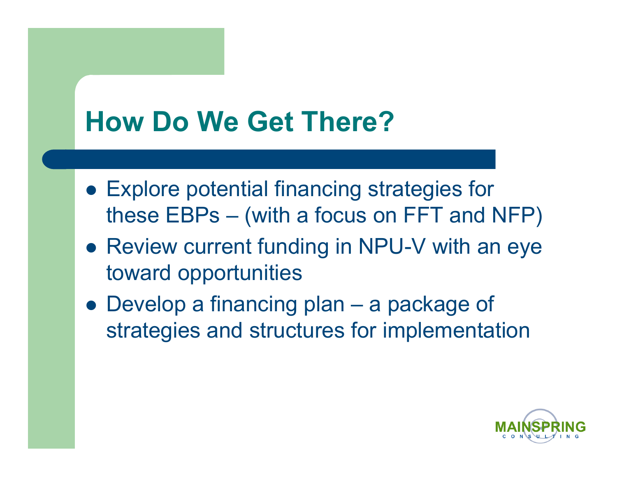## **How Do We Get There?**

- Explore potential financing strategies for these EBPs – (with a focus on FFT and NFP)
- Review current funding in NPU-V with an eye toward opportunities
- Develop a financing plan a package of strategies and structures for implementation

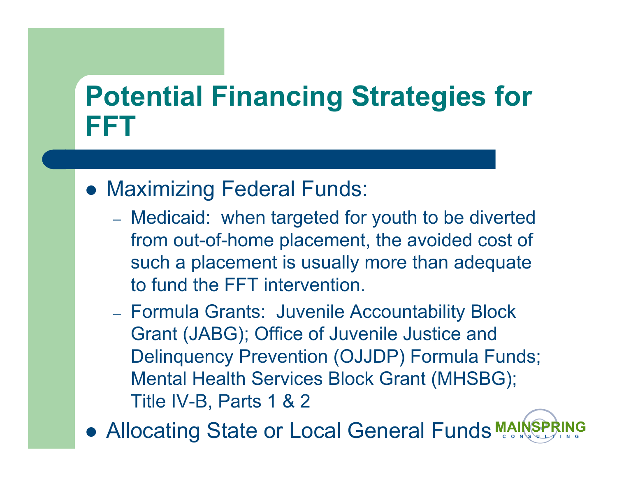## **Potential Financing Strategies for FFT**

#### • Maximizing Federal Funds:

- Medicaid: when targeted for youth to be diverted from out-of-home placement, the avoided cost of such a placement is usually more than adequate to fund the FFT intervention.
- Formula Grants: Juvenile Accountability Block Grant (JABG); Office of Juvenile Justice and Delinquency Prevention (OJJDP) Formula Funds; Mental Health Services Block Grant (MHSBG); Title IV-B, Parts 1 & 2
- Allocating State or Local General Funds MAINS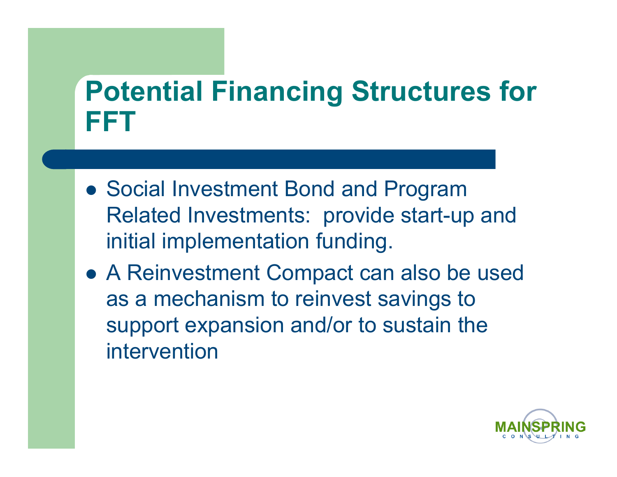## **Potential Financing Structures for FFT**

- Social Investment Bond and Program Related Investments: provide start-up and initial implementation funding.
- A Reinvestment Compact can also be used as a mechanism to reinvest savings to support expansion and/or to sustain the intervention

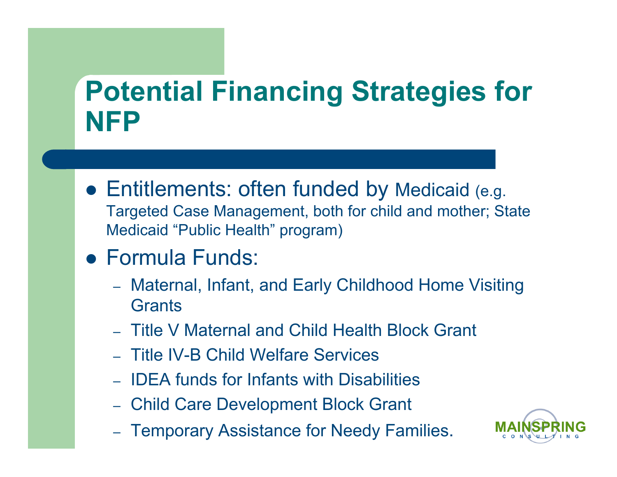## **Potential Financing Strategies for NFP**

- Entitlements: often funded by Medicaid (e.g. Targeted Case Management, both for child and mother; State Medicaid "Public Health" program)
- Formula Funds:
	- Maternal, Infant, and Early Childhood Home Visiting **Grants**
	- Title V Maternal and Child Health Block Grant
	- Title IV-B Child Welfare Services
	- IDEA funds for Infants with Disabilities
	- Child Care Development Block Grant
	- Temporary Assistance for Needy Families.

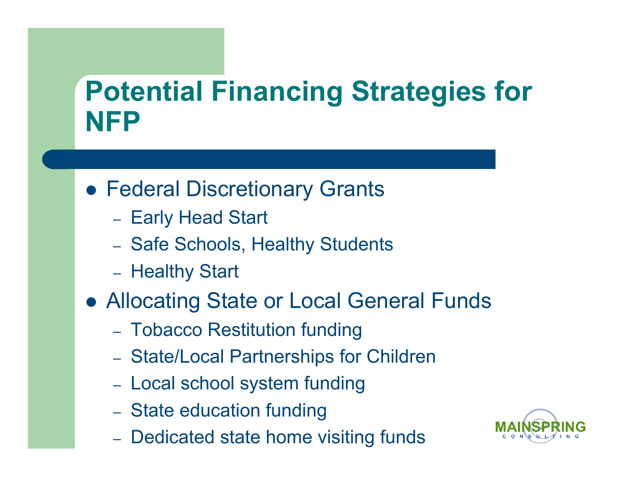## **Potential Financing Strategies for NFP**

- Federal Discretionary Grants
	- Early Head Start
	- Safe Schools, Healthy Students
	- Healthy Start
- Allocating State or Local General Funds
	- Tobacco Restitution funding
	- State/Local Partnerships for Children
	- Local school system funding
	- State education funding
	- Dedicated state home visiting funds

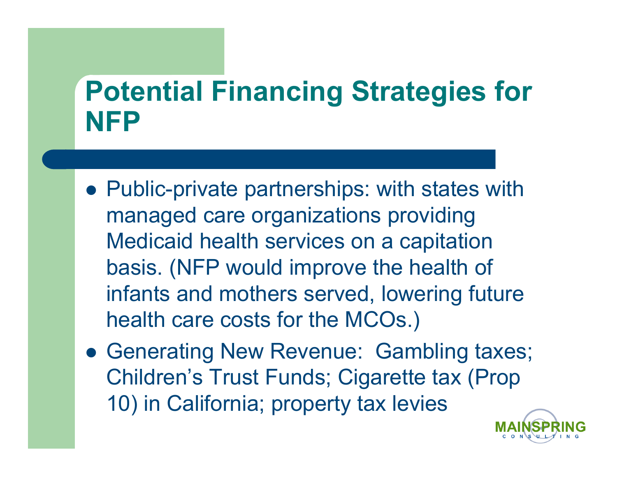## **Potential Financing Strategies for NFP**

- Public-private partnerships: with states with managed care organizations providing Medicaid health services on a capitation basis. (NFP would improve the health of infants and mothers served, lowering future health care costs for the MCOs.)
- Generating New Revenue: Gambling taxes; Children's Trust Funds; Cigarette tax (Prop 10) in California; property tax levies

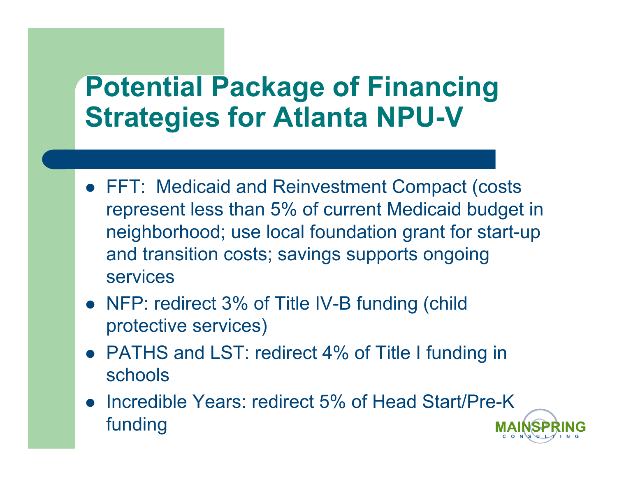## **Potential Package of Financing Strategies for Atlanta NPU-V**

- FFT: Medicaid and Reinvestment Compact (costs represent less than 5% of current Medicaid budget in neighborhood; use local foundation grant for start-up and transition costs; savings supports ongoing services
- NFP: redirect 3% of Title IV-B funding (child protective services)
- PATHS and LST: redirect 4% of Title I funding in schools
- Incredible Years: redirect 5% of Head Start/Pre-K funding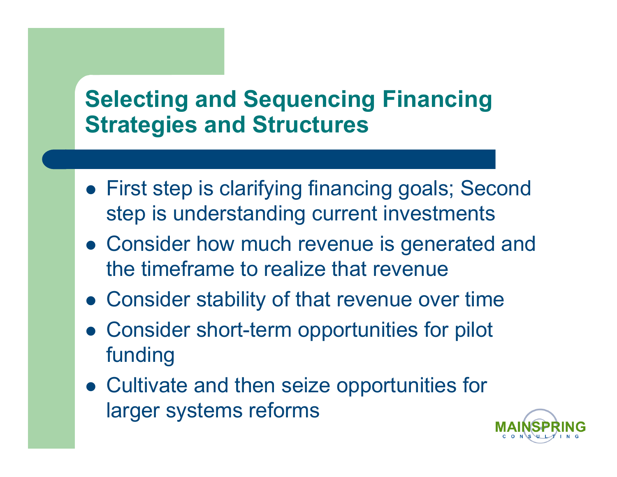#### **Selecting and Sequencing Financing Strategies and Structures**

- First step is clarifying financing goals; Second step is understanding current investments
- Consider how much revenue is generated and the timeframe to realize that revenue
- Consider stability of that revenue over time
- Consider short-term opportunities for pilot funding
- Cultivate and then seize opportunities for larger systems reforms

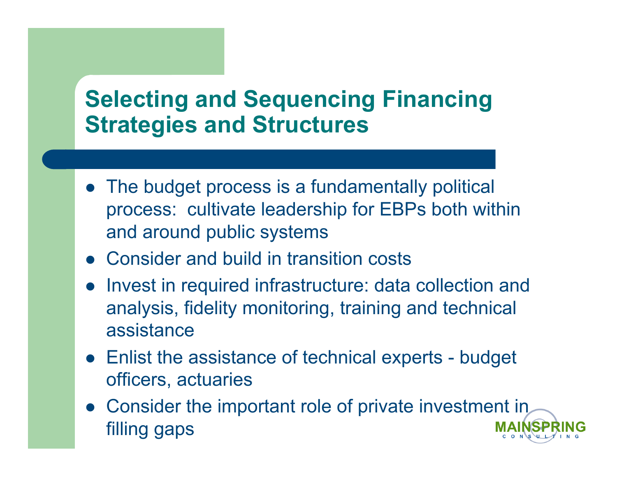#### **Selecting and Sequencing Financing Strategies and Structures**

- The budget process is a fundamentally political process: cultivate leadership for EBPs both within and around public systems
- Consider and build in transition costs
- Invest in required infrastructure: data collection and analysis, fidelity monitoring, training and technical assistance
- Enlist the assistance of technical experts budget officers, actuaries
- Consider the important role of private investment in filling gaps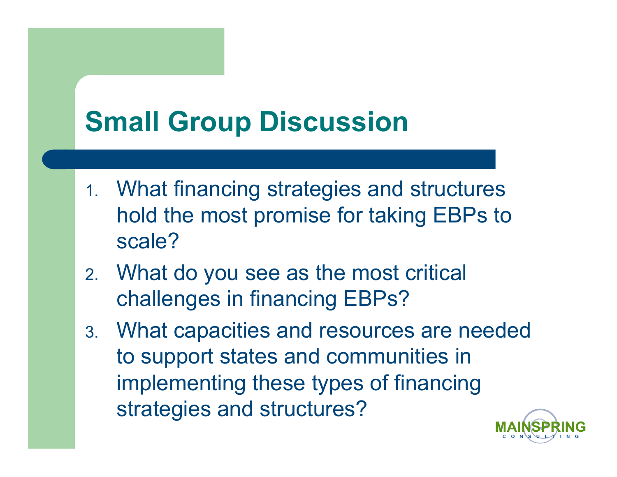## **Small Group Discussion**

- 1. What financing strategies and structures hold the most promise for taking EBPs to scale?
- 2. What do you see as the most critical challenges in financing EBPs?
- 3. What capacities and resources are needed to support states and communities in implementing these types of financing strategies and structures?